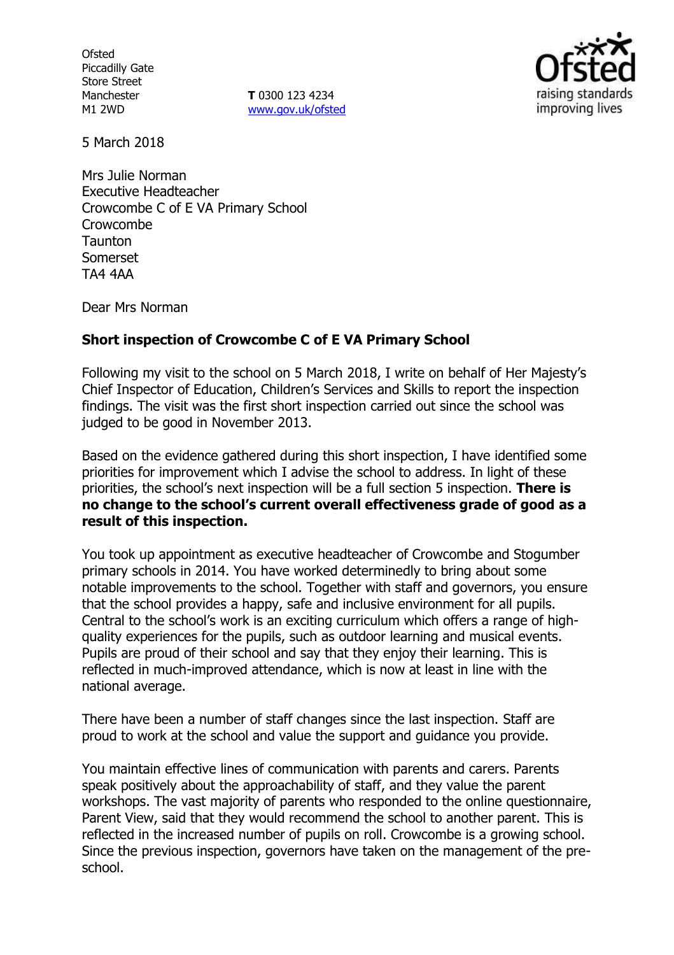**Ofsted** Piccadilly Gate Store Street Manchester M1 2WD

**T** 0300 123 4234 www.gov.uk/ofsted



5 March 2018

Mrs Julie Norman Executive Headteacher Crowcombe C of E VA Primary School Crowcombe **Taunton** Somerset TA4 4AA

Dear Mrs Norman

### **Short inspection of Crowcombe C of E VA Primary School**

Following my visit to the school on 5 March 2018, I write on behalf of Her Majesty's Chief Inspector of Education, Children's Services and Skills to report the inspection findings. The visit was the first short inspection carried out since the school was judged to be good in November 2013.

Based on the evidence gathered during this short inspection, I have identified some priorities for improvement which I advise the school to address. In light of these priorities, the school's next inspection will be a full section 5 inspection. **There is no change to the school's current overall effectiveness grade of good as a result of this inspection.**

You took up appointment as executive headteacher of Crowcombe and Stogumber primary schools in 2014. You have worked determinedly to bring about some notable improvements to the school. Together with staff and governors, you ensure that the school provides a happy, safe and inclusive environment for all pupils. Central to the school's work is an exciting curriculum which offers a range of highquality experiences for the pupils, such as outdoor learning and musical events. Pupils are proud of their school and say that they enjoy their learning. This is reflected in much-improved attendance, which is now at least in line with the national average.

There have been a number of staff changes since the last inspection. Staff are proud to work at the school and value the support and guidance you provide.

You maintain effective lines of communication with parents and carers. Parents speak positively about the approachability of staff, and they value the parent workshops. The vast majority of parents who responded to the online questionnaire, Parent View, said that they would recommend the school to another parent. This is reflected in the increased number of pupils on roll. Crowcombe is a growing school. Since the previous inspection, governors have taken on the management of the preschool.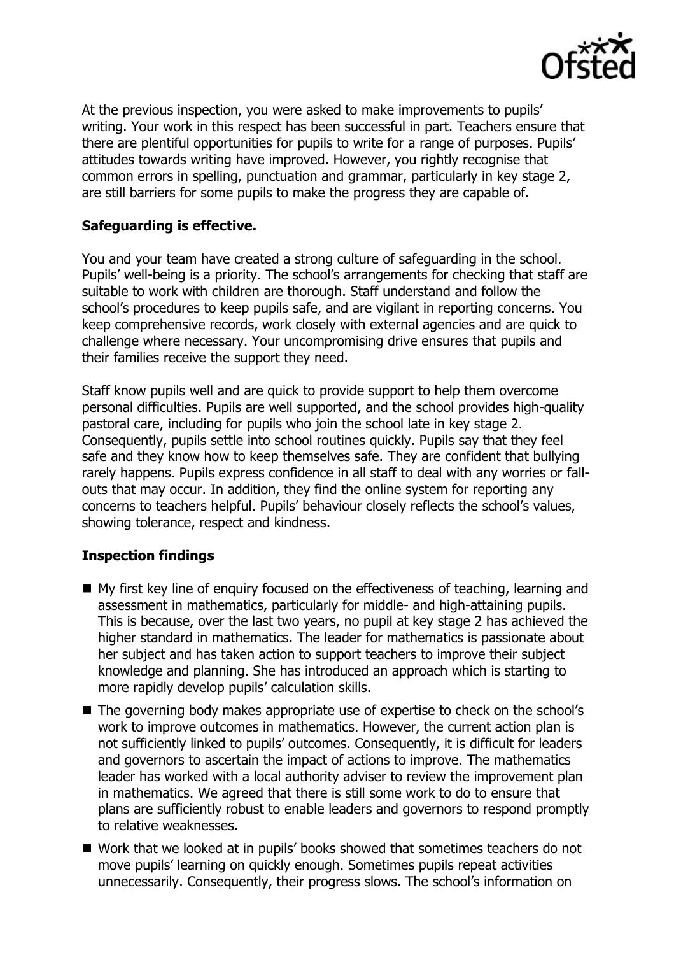

At the previous inspection, you were asked to make improvements to pupils' writing. Your work in this respect has been successful in part. Teachers ensure that there are plentiful opportunities for pupils to write for a range of purposes. Pupils' attitudes towards writing have improved. However, you rightly recognise that common errors in spelling, punctuation and grammar, particularly in key stage 2, are still barriers for some pupils to make the progress they are capable of.

# **Safeguarding is effective.**

You and your team have created a strong culture of safeguarding in the school. Pupils' well-being is a priority. The school's arrangements for checking that staff are suitable to work with children are thorough. Staff understand and follow the school's procedures to keep pupils safe, and are vigilant in reporting concerns. You keep comprehensive records, work closely with external agencies and are quick to challenge where necessary. Your uncompromising drive ensures that pupils and their families receive the support they need.

Staff know pupils well and are quick to provide support to help them overcome personal difficulties. Pupils are well supported, and the school provides high-quality pastoral care, including for pupils who join the school late in key stage 2. Consequently, pupils settle into school routines quickly. Pupils say that they feel safe and they know how to keep themselves safe. They are confident that bullying rarely happens. Pupils express confidence in all staff to deal with any worries or fallouts that may occur. In addition, they find the online system for reporting any concerns to teachers helpful. Pupils' behaviour closely reflects the school's values, showing tolerance, respect and kindness.

### **Inspection findings**

- My first key line of enquiry focused on the effectiveness of teaching, learning and assessment in mathematics, particularly for middle- and high-attaining pupils. This is because, over the last two years, no pupil at key stage 2 has achieved the higher standard in mathematics. The leader for mathematics is passionate about her subject and has taken action to support teachers to improve their subject knowledge and planning. She has introduced an approach which is starting to more rapidly develop pupils' calculation skills.
- The governing body makes appropriate use of expertise to check on the school's work to improve outcomes in mathematics. However, the current action plan is not sufficiently linked to pupils' outcomes. Consequently, it is difficult for leaders and governors to ascertain the impact of actions to improve. The mathematics leader has worked with a local authority adviser to review the improvement plan in mathematics. We agreed that there is still some work to do to ensure that plans are sufficiently robust to enable leaders and governors to respond promptly to relative weaknesses.
- Work that we looked at in pupils' books showed that sometimes teachers do not move pupils' learning on quickly enough. Sometimes pupils repeat activities unnecessarily. Consequently, their progress slows. The school's information on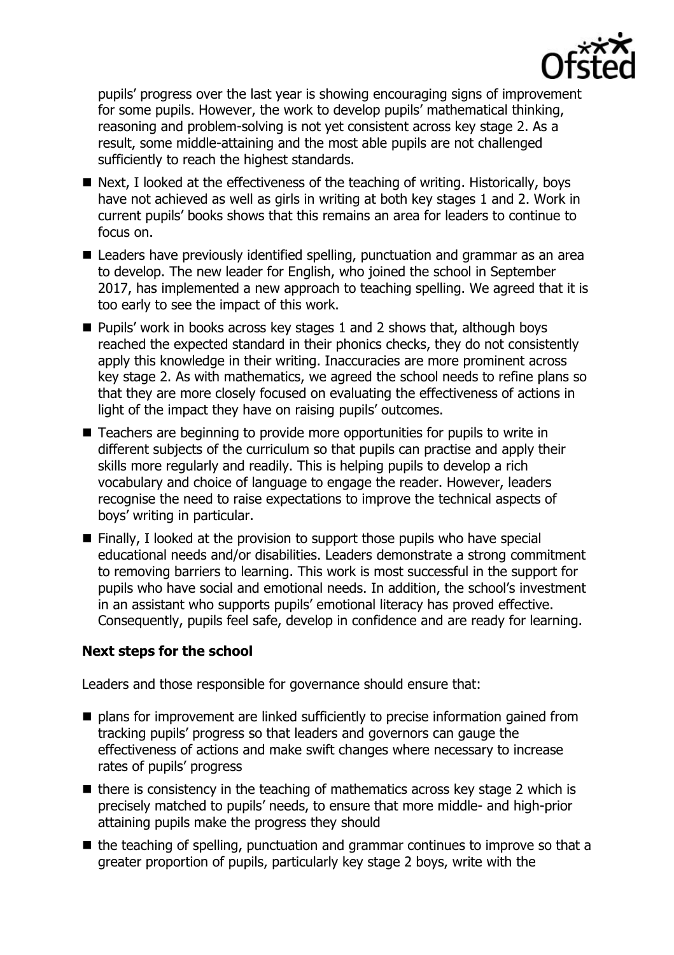

pupils' progress over the last year is showing encouraging signs of improvement for some pupils. However, the work to develop pupils' mathematical thinking, reasoning and problem-solving is not yet consistent across key stage 2. As a result, some middle-attaining and the most able pupils are not challenged sufficiently to reach the highest standards.

- Next, I looked at the effectiveness of the teaching of writing. Historically, boys have not achieved as well as girls in writing at both key stages 1 and 2. Work in current pupils' books shows that this remains an area for leaders to continue to focus on.
- Leaders have previously identified spelling, punctuation and grammar as an area to develop. The new leader for English, who joined the school in September 2017, has implemented a new approach to teaching spelling. We agreed that it is too early to see the impact of this work.
- $\blacksquare$  Pupils' work in books across key stages 1 and 2 shows that, although boys reached the expected standard in their phonics checks, they do not consistently apply this knowledge in their writing. Inaccuracies are more prominent across key stage 2. As with mathematics, we agreed the school needs to refine plans so that they are more closely focused on evaluating the effectiveness of actions in light of the impact they have on raising pupils' outcomes.
- Teachers are beginning to provide more opportunities for pupils to write in different subjects of the curriculum so that pupils can practise and apply their skills more regularly and readily. This is helping pupils to develop a rich vocabulary and choice of language to engage the reader. However, leaders recognise the need to raise expectations to improve the technical aspects of boys' writing in particular.
- $\blacksquare$  Finally, I looked at the provision to support those pupils who have special educational needs and/or disabilities. Leaders demonstrate a strong commitment to removing barriers to learning. This work is most successful in the support for pupils who have social and emotional needs. In addition, the school's investment in an assistant who supports pupils' emotional literacy has proved effective. Consequently, pupils feel safe, develop in confidence and are ready for learning.

### **Next steps for the school**

Leaders and those responsible for governance should ensure that:

- $\blacksquare$  plans for improvement are linked sufficiently to precise information gained from tracking pupils' progress so that leaders and governors can gauge the effectiveness of actions and make swift changes where necessary to increase rates of pupils' progress
- $\blacksquare$  there is consistency in the teaching of mathematics across key stage 2 which is precisely matched to pupils' needs, to ensure that more middle- and high-prior attaining pupils make the progress they should
- $\blacksquare$  the teaching of spelling, punctuation and grammar continues to improve so that a greater proportion of pupils, particularly key stage 2 boys, write with the